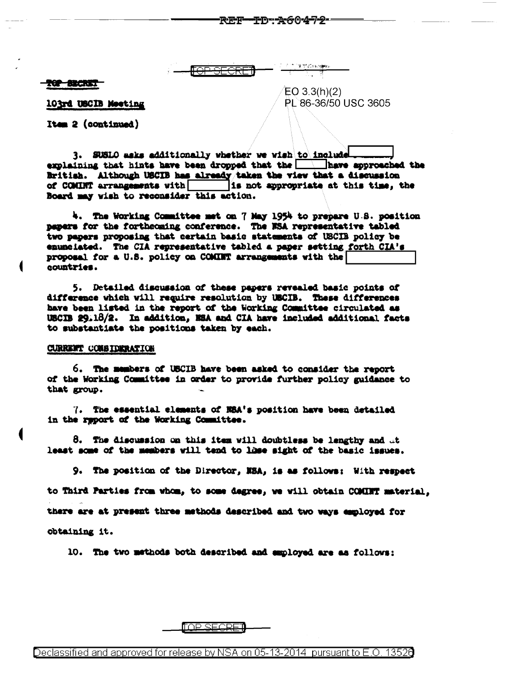TOP SECRET

103rd USCIB Meeting

 $EO 3.3(h)(2)$ PL 86-36/50 USC 3605

**-ID:A60472-**

Item 2 (continued)

3. SUSLO asks additionally whether we wish to include explaining that hints have been dropped that the  $\Box$  have approached the British. Although USCIB has already taken the view that a discussion of COMINT arrangements with is not appropriate at this time, the Board may wish to reconsider this action.

REF-

4. The Working Committee met on 7 May 1954 to prepare U.S. position papers for the fortheoming conference. The NSA representative tabled two papers proposing that certain basic statements of USCIB policy be enunciated. The CIA representative tabled a paper setting forth CIA's proposal for a U.S. policy on COMINT arrangements with the countries.

5. Detailed discussion of these papers revealed basic points of difference which will require resolution by USCIB. These differences have been listed in the report of the Working Committee circulated as USCIB 29.18/2. In addition, NSA and CIA have included additional facts to substantiate the positions taken by each.

#### **CURRENT CONSIDERATION**

6. The members of USCIB have been asked to consider the report of the Working Committee in order to provide further policy guidance to that group.

7. The essential elements of NSA's position have been detailed in the report of the Working Committee.

 $8.$  The discussion on this item will doubtless be lengthy and  $\mathcal{A}$ least some of the members will tend to lhse sight of the basic issues.

9. The position of the Director, NSA, is as follows: With respect to Third Parties from whom, to some degree, we will obtain COMINT material. there are at present three methods described and two ways employed for obtaining it.

10. The two methods both described and employed are as follows:

<u>INP SECRE</u>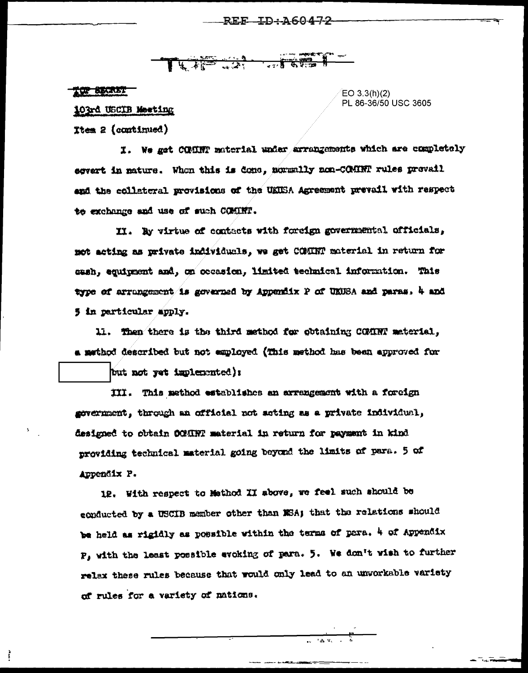LAP LAT THREE

### TOP BECKET

į

EO 3.3(h)(2) PL 86-36/50 USC 3605

103rd USCIB Meeting

**Ttem 2 (continued)** 

I. We get COMINT material under arrangements which are completely egvert in nature. When this is done, normally non-COMINT rules prevail and the collateral provisions of the UKUSA Agreement prevail with respect to exchange and use of such COMINT.

II. By virtue of contacts with foreign governmental officials, not acting as private individuals, we get COMINT material in return for cash, equipment and, on occasion, limited technical information. This type of arrangement is governed by Appendix P of UKUSA and paras, 4 and 5 in particular apply.

11. Then there is the third method for obtaining COMRTT meterial, a mathod described but not employed (This method has been approved for

but not yet implemented):

III. This method establishes an arrangement with a foreign gevernment, through an official not acting as a private individual, designed to obtain OCHINT material in return for payment in kind providing technical material going beyond the limits of para. 5 of Appendix P.

12. With respect to Mathod II above, we feel such should be conducted by a USCIB member other than NSA; that the relations should be held as rigidly as possible within the terms of para, 4 of Appendix P, with the least possible evoking of para. 5. We don't wish to further relax these rules because that would only lead to an unvorkable variety of rules for a variety of nations.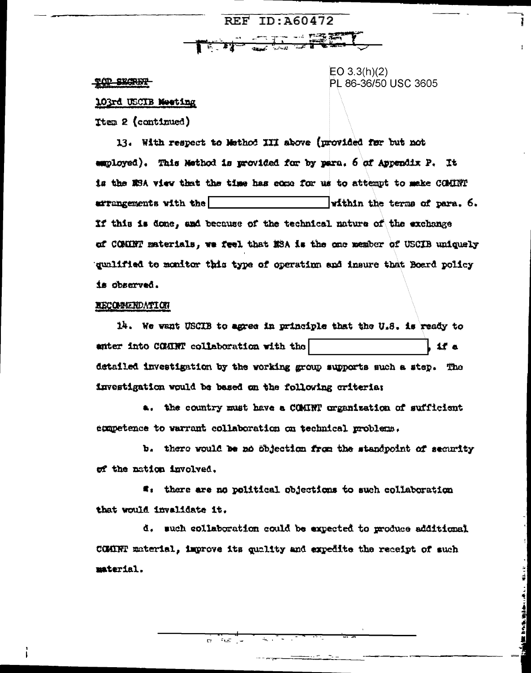#### TOP SECRET

 $EO 3.3(h)(2)$ PL 86-36/50 USC 3605

 $\frac{1}{2}$ 

**NE DONE WILD AND IN THE** 

### 103rd USCIB Moeting

**Ttem 2 (continued)** 

13. With respect to Method III above (provided for but not employed). This Nethod is provided for by para. 6 of Appendix P. It is the MSA view that the time has come for us to attempt to make COMINT arrangements with the within the terms of para. 6. If this is done, and because of the technical nature of the exchange of COMINT materials, we feel that NSA is the one member of USCIB uniquely gunlified to monitor this type of operating and insure that Board policy is observed.

**REF ID: A60472** 

**STAR START** 

## **RECOMMENDATION**

14. We want USCIB to agree in principle that the U.S. is ready to anter into COMINT collaboration with the  $15a$ detailed investigation by the working group supports such a step. The investigation would be based on the following criteria:

a. the country must have a COMINT organization of sufficient exametence to warrant collaboration on technical problems.

b. there would be no objection from the standpoint of security of the nation involved.

**4.** there are no political objections to such collaboration that would invalidate it.

d. such collaboration could be expected to produce additional COMINT material, improve its quality and expedite the receipt of such material.